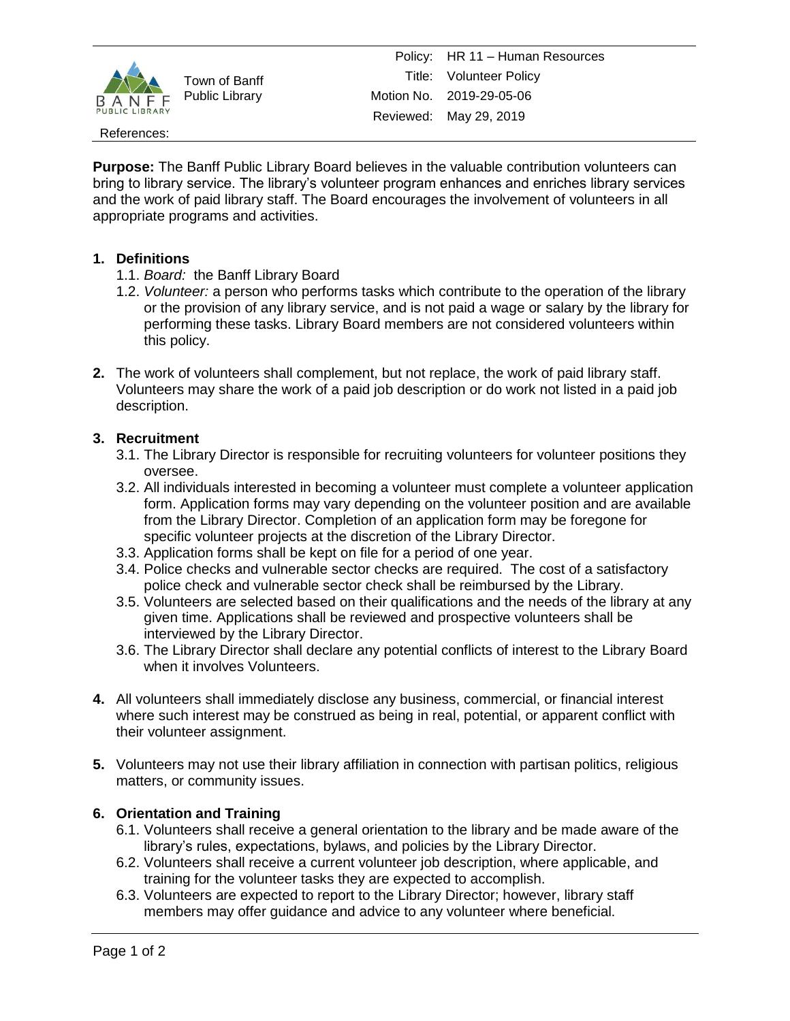

Town of Banff Public Library

#### References:

**Purpose:** The Banff Public Library Board believes in the valuable contribution volunteers can bring to library service. The library's volunteer program enhances and enriches library services and the work of paid library staff. The Board encourages the involvement of volunteers in all appropriate programs and activities.

### **1. Definitions**

- 1.1. *Board:* the Banff Library Board
- 1.2. *Volunteer:* a person who performs tasks which contribute to the operation of the library or the provision of any library service, and is not paid a wage or salary by the library for performing these tasks. Library Board members are not considered volunteers within this policy.
- **2.** The work of volunteers shall complement, but not replace, the work of paid library staff. Volunteers may share the work of a paid job description or do work not listed in a paid job description.

# **3. Recruitment**

- 3.1. The Library Director is responsible for recruiting volunteers for volunteer positions they oversee.
- 3.2. All individuals interested in becoming a volunteer must complete a volunteer application form. Application forms may vary depending on the volunteer position and are available from the Library Director. Completion of an application form may be foregone for specific volunteer projects at the discretion of the Library Director.
- 3.3. Application forms shall be kept on file for a period of one year.
- 3.4. Police checks and vulnerable sector checks are required. The cost of a satisfactory police check and vulnerable sector check shall be reimbursed by the Library.
- 3.5. Volunteers are selected based on their qualifications and the needs of the library at any given time. Applications shall be reviewed and prospective volunteers shall be interviewed by the Library Director.
- 3.6. The Library Director shall declare any potential conflicts of interest to the Library Board when it involves Volunteers.
- **4.** All volunteers shall immediately disclose any business, commercial, or financial interest where such interest may be construed as being in real, potential, or apparent conflict with their volunteer assignment.
- **5.** Volunteers may not use their library affiliation in connection with partisan politics, religious matters, or community issues.

# **6. Orientation and Training**

- 6.1. Volunteers shall receive a general orientation to the library and be made aware of the library's rules, expectations, bylaws, and policies by the Library Director.
- 6.2. Volunteers shall receive a current volunteer job description, where applicable, and training for the volunteer tasks they are expected to accomplish.
- 6.3. Volunteers are expected to report to the Library Director; however, library staff members may offer guidance and advice to any volunteer where beneficial.